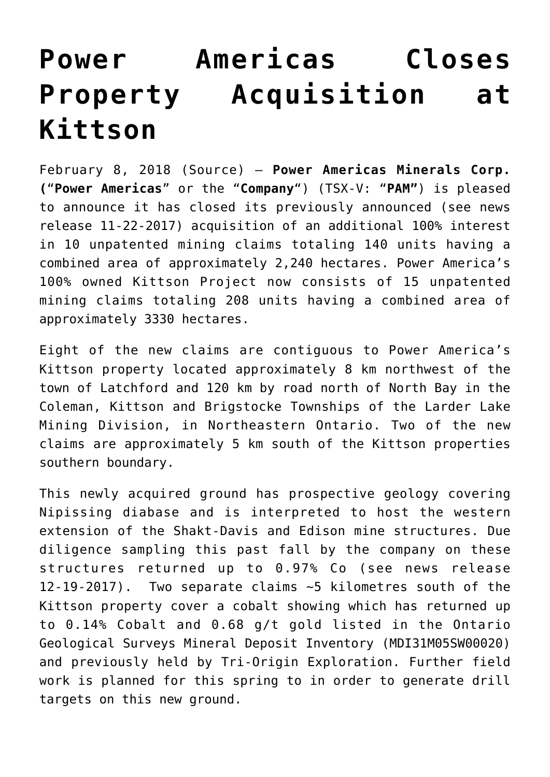## **[Power Americas Closes](https://investorintel.com/markets/technology-metals/technology-metals-news/power-americas-closes-property-acquisition-kittson/) [Property Acquisition at](https://investorintel.com/markets/technology-metals/technology-metals-news/power-americas-closes-property-acquisition-kittson/) [Kittson](https://investorintel.com/markets/technology-metals/technology-metals-news/power-americas-closes-property-acquisition-kittson/)**

February 8, 2018 ([Source\)](https://www.newsfilecorp.com/release/32678/Power-Americas-Closes-Property-Acquisition-at-Kittson) — **Power Americas Minerals Corp. (**"**Power Americas**" or the "**Company**") (TSX-V: "**PAM"**) is pleased to announce it has closed its previously announced (see news release 11-22-2017) acquisition of an additional 100% interest in 10 unpatented mining claims totaling 140 units having a combined area of approximately 2,240 hectares. Power America's 100% owned Kittson Project now consists of 15 unpatented mining claims totaling 208 units having a combined area of approximately 3330 hectares.

Eight of the new claims are contiguous to Power America's Kittson property located approximately 8 km northwest of the town of Latchford and 120 km by road north of North Bay in the Coleman, Kittson and Brigstocke Townships of the Larder Lake Mining Division, in Northeastern Ontario. Two of the new claims are approximately 5 km south of the Kittson properties southern boundary.

This newly acquired ground has prospective geology covering Nipissing diabase and is interpreted to host the western extension of the Shakt-Davis and Edison mine structures. Due diligence sampling this past fall by the company on these structures returned up to 0.97% Co (see news release 12-19-2017). Two separate claims ~5 kilometres south of the Kittson property cover a cobalt showing which has returned up to 0.14% Cobalt and 0.68 g/t gold listed in the Ontario Geological Surveys Mineral Deposit Inventory (MDI31M05SW00020) and previously held by Tri-Origin Exploration. Further field work is planned for this spring to in order to generate drill targets on this new ground.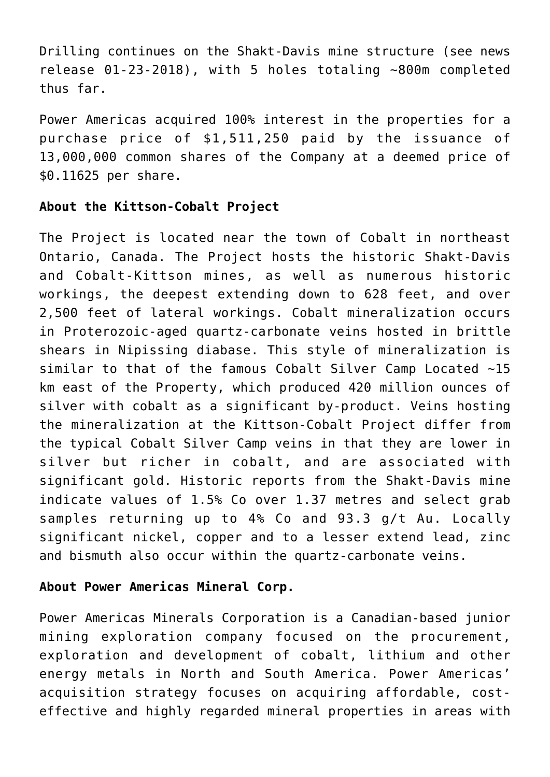Drilling continues on the Shakt-Davis mine structure (see news release 01-23-2018), with 5 holes totaling ~800m completed thus far.

Power Americas acquired 100% interest in the properties for a purchase price of \$1,511,250 paid by the issuance of 13,000,000 common shares of the Company at a deemed price of \$0.11625 per share.

## **About the Kittson-Cobalt Project**

The Project is located near the town of Cobalt in northeast Ontario, Canada. The Project hosts the historic Shakt-Davis and Cobalt-Kittson mines, as well as numerous historic workings, the deepest extending down to 628 feet, and over 2,500 feet of lateral workings. Cobalt mineralization occurs in Proterozoic-aged quartz-carbonate veins hosted in brittle shears in Nipissing diabase. This style of mineralization is similar to that of the famous Cobalt Silver Camp Located ~15 km east of the Property, which produced 420 million ounces of silver with cobalt as a significant by-product. Veins hosting the mineralization at the Kittson-Cobalt Project differ from the typical Cobalt Silver Camp veins in that they are lower in silver but richer in cobalt, and are associated with significant gold. Historic reports from the Shakt-Davis mine indicate values of 1.5% Co over 1.37 metres and select grab samples returning up to 4% Co and 93.3 g/t Au. Locally significant nickel, copper and to a lesser extend lead, zinc and bismuth also occur within the quartz-carbonate veins.

## **About Power Americas Mineral Corp.**

Power Americas Minerals Corporation is a Canadian-based junior mining exploration company focused on the procurement, exploration and development of cobalt, lithium and other energy metals in North and South America. Power Americas' acquisition strategy focuses on acquiring affordable, costeffective and highly regarded mineral properties in areas with